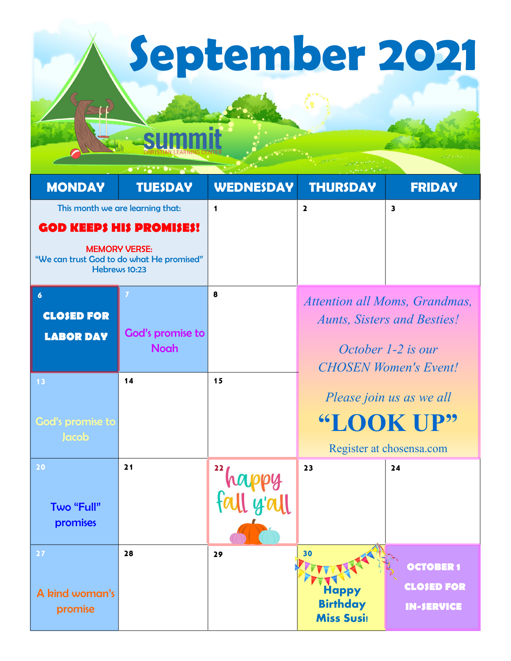**September 2021**

|                                                                                    |                  | <b>CHARLES</b>   |                                      |                               |  |
|------------------------------------------------------------------------------------|------------------|------------------|--------------------------------------|-------------------------------|--|
| <b>MONDAY</b>                                                                      | <b>TUESDAY</b>   | <b>WEDNESDAY</b> | <b>THURSDAY</b>                      | <b>FRIDAY</b>                 |  |
| This month we are learning that:                                                   |                  | 1                | $\overline{\mathbf{2}}$              | $\overline{\mathbf{3}}$       |  |
| <b>GOD KEEPS HIS PROMISES!</b>                                                     |                  |                  |                                      |                               |  |
| <b>MEMORY VERSE:</b><br>"We can trust God to do what He promised"<br>Hebrews 10:23 |                  |                  |                                      |                               |  |
| $\boldsymbol{6}$                                                                   | 7                | 8                |                                      | Attention all Moms, Grandmas, |  |
| <b>CLOSED FOR</b>                                                                  |                  |                  | <b>Aunts, Sisters and Besties!</b>   |                               |  |
| <b>LABOR DAY</b>                                                                   | God's promise to |                  |                                      |                               |  |
|                                                                                    | <b>Noah</b>      |                  |                                      | October 1-2 is our            |  |
| 13                                                                                 | 14               | 15               |                                      | <b>CHOSEN Women's Event!</b>  |  |
|                                                                                    |                  |                  | Please join us as we all             |                               |  |
| God's promise to                                                                   |                  |                  | "LOOK UP"                            |                               |  |
| Jacob                                                                              |                  |                  |                                      |                               |  |
|                                                                                    |                  |                  | Register at chosensa.com             |                               |  |
| 20                                                                                 | 21               |                  | 23                                   | 24                            |  |
|                                                                                    |                  |                  |                                      |                               |  |
| <b>Two "Full"</b>                                                                  |                  |                  |                                      |                               |  |
| promises                                                                           |                  |                  |                                      |                               |  |
| $27$                                                                               | 28               | 29               | 30                                   |                               |  |
|                                                                                    |                  |                  |                                      | <b>OCTOBER 1</b>              |  |
| A kind woman's                                                                     |                  |                  | <b>Happy</b>                         | <b>CLOSED FOR</b>             |  |
| promise                                                                            |                  |                  | <b>Birthday</b><br><b>Miss Susi:</b> | <b>IN-SERVICE</b>             |  |
|                                                                                    |                  |                  |                                      |                               |  |

summit